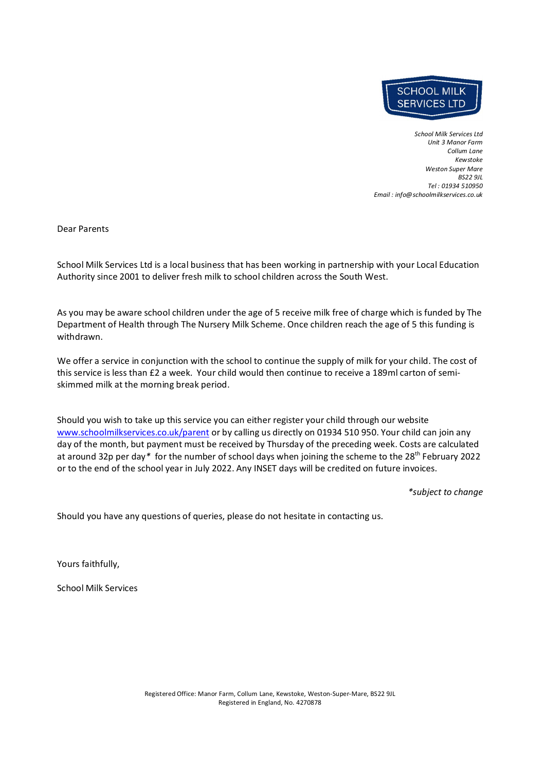

*School Milk Services Ltd Unit 3 Manor Farm Collum Lane Kewstoke Weston Super Mare BS22 9JL Tel : 01934 510950 Email : info@schoolmilkservices.co.uk* 

Dear Parents

School Milk Services Ltd is a local business that has been working in partnership with your Local Education Authority since 2001 to deliver fresh milk to school children across the South West.

As you may be aware school children under the age of 5 receive milk free of charge which is funded by The Department of Health through The Nursery Milk Scheme. Once children reach the age of 5 this funding is withdrawn.

We offer a service in conjunction with the school to continue the supply of milk for your child. The cost of this service is less than £2 a week. Your child would then continue to receive a 189ml carton of semiskimmed milk at the morning break period.

Should you wish to take up this service you can either register your child through our website www.schoolmilkservices.co.uk/parent or by calling us directly on 01934 510 950. Your child can join any day of the month, but payment must be received by Thursday of the preceding week. Costs are calculated at around 32p per day*\** for the number of school days when joining the scheme to the 28th February 2022 or to the end of the school year in July 2022. Any INSET days will be credited on future invoices.

*\*subject to change*

Should you have any questions of queries, please do not hesitate in contacting us.

Yours faithfully,

School Milk Services